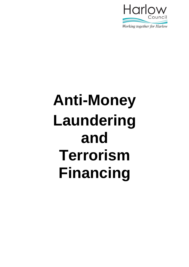

# **Anti-Money Laundering and Terrorism Financing**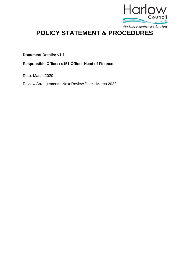

# **POLICY STATEMENT & PROCEDURES**

**Document Details: v1.1**

**Responsible Officer: s151 Officer Head of Finance**

Date: March 2020

Review Arrangements: Next Review Date - March 2022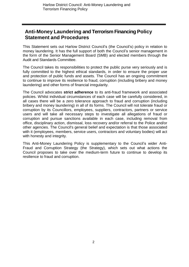## **Anti-Money Laundering and Terrorism Financing Policy Statement and Procedures**

This Statement sets out Harlow District Council's (the Council's) policy in relation to money laundering. It has the full support of both the Council's senior management in the form of the Senior Management Board (SMB) and elected members through the Audit and Standards Committee.

The Council takes its responsibilities to protect the public purse very seriously and is fully committed to the highest ethical standards, in order to ensure the proper use and protection of public funds and assets. The Council has an ongoing commitment to continue to improve its resilience to fraud, corruption (including bribery and money laundering) and other forms of financial irregularity.

The Council advocates **strict adherence** to its anti-fraud framework and associated policies. Whilst individual circumstances of each case will be carefully considered, in all cases there will be a zero tolerance approach to fraud and corruption (including bribery and money laundering) in all of its forms. The Council will not tolerate fraud or corruption by its Councillors, employees, suppliers, contractors, partners or service users and will take all necessary steps to investigate all allegations of fraud or corruption and pursue sanctions available in each case, including removal from office, disciplinary action, dismissal, loss recovery and/or referral to the Police and/or other agencies. The Council's general belief and expectation is that those associated with it (employees, members, service users, contractors and voluntary bodies) will act with honesty and integrity.

This Anti-Money Laundering Policy is supplementary to the Council's wider Anti-Fraud and Corruption Strategy (the Strategy), which sets out what actions the Council proposes to take over the medium-term future to continue to develop its resilience to fraud and corruption.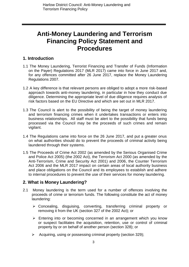## **Anti-Money Laundering and Terrorism Financing Policy Statement and Procedures**

## **1. Introduction**

- 1.1 The Money Laundering, Terrorist Financing and Transfer of Funds (Information on the Payer) Regulations 2017 (MLR 2017) came into force in June 2017 and, for any offences committed after 26 June 2017, replace the Money Laundering Regulations 2007.
- 1.2 A key difference is that relevant persons are obliged to adopt a more risk-based approach towards anti-money laundering, in particular in how they conduct due diligence. Determining the appropriate level of due diligence requires analysis of risk factors based on the EU Directive and which are set out in MLR 2017.
- 1.3 The Council is alert to the possibility of being the target of money laundering and terrorism financing crimes when it undertakes transactions or enters into business relationships. All staff must be alert to the possibility that funds being processed via the Council may be the proceeds of such crimes and remain vigilant.
- 1.4 The Regulations came into force on the 26 June 2017, and put a greater onus on what authorities should do to prevent the proceeds of criminal activity being laundered through their systems.
- 1.5 The Proceeds of Crime Act 2002 (as amended by the Serious Organised Crime and Police Act 2005) (the 2002 Act), the Terrorism Act 2000 (as amended by the Anti-Terrorism, Crime and Security Act 2001) and 2006, the Counter Terrorism Act 2006 and the MLR 2017 impact on certain areas of local authority business and place obligations on the Council and its employees to establish and adhere to internal procedures to prevent the use of their services for money laundering.

## **2. What is Money Laundering?**

- 2.1 Money laundering is the term used for a number of offences involving the proceeds of crime or terrorism funds. The following constitute the act of money laundering:
	- Concealing, disguising, converting, transferring criminal property or removing it from the UK (section 327 of the 2002 Act); or
	- $\triangleright$  Entering into or becoming concerned in an arrangement which you know or suspect facilitates the acquisition, retention, use or control of criminal property by or on behalf of another person (section 328); or
	- $\triangleright$  Acquiring, using or possessing criminal property (section 329);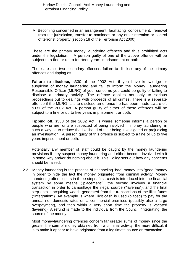$\triangleright$  Becoming concerned in an arrangement facilitating concealment, removal from the jurisdiction, transfer to nominees or any other retention or control of terrorist property (section 18 of the Terrorism Act 2000).

These are the primary money laundering offences and thus prohibited acts under the legislation. A person guilty of one of the above offence will be subject to a fine or up to fourteen years imprisonment or both.

There are also two secondary offences: failure to disclose any of the primary offences and tipping off.

**Failure to disclose,** s330 of the 2002 Act, if you have knowledge or suspicion of money laundering and fail to inform the Money Laundering Responsible Officer (MLRO) of your concerns you could be guilty of failing to disclose a primary activity. The offence applies not only to serious proceedings but to dealings with proceeds of all crimes. There is a separate offence if the MLRO fails to disclose an offence he has been made aware of, s331 of the 2002 Act. A person guilty of either of these offences will be subject to a fine or up to five years imprisonment or both.

**Tipping off,** s333 of the 2002 Act, is where someone informs a person or people who are, or are suspected of being involved in money laundering, in such a way as to reduce the likelihood of their being investigated or prejudicing an investigation. A person guilty of this offence is subject to a fine or up to five years imprisonment or both.

Potentially any member of staff could be caught by the money laundering provisions if they suspect money laundering and either become involved with it in some way and/or do nothing about it. This Policy sets out how any concerns should be raised.

2.2 Money laundering is the process of channeling 'bad' money into 'good 'money in order to hide the fact the money originated from criminal activity. Money laundering often occurs in three steps: first, cash is introduced into the financial system by some means ("placement"), the second involves a financial transaction in order to camouflage the illegal source ("layering"), and the final step entails acquiring wealth generated from the transactions of the illicit funds ("integration"). An example is where illicit cash is used (placed) to pay for the annual non-domestic rates on a commercial premises (possibly also a large overpayment), and then within a very short time the property is vacated (layering). A refund is made to the individual from the Council, 'integrating' the source of the money.

Most money-laundering offences concern far greater sums of money since the greater the sum of money obtained from a criminal activity, the more difficult it is to make it appear to have originated from a legitimate source or transaction.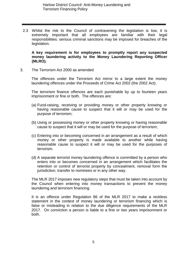2.3 Whilst the risk to the Council of contravening the legislation is low, it is extremely important that all employees are familiar with their legal responsibilities: serious criminal sanctions may be imposed for breaches of the legislation.

**A key requirement is for employees to promptly report any suspected money laundering activity to the Money Laundering Reporting Officer (MLRO).**

3. The Terrorism Act 2000 as amended

The offences under the Terrorism Act mirror to a large extent the money laundering offences under the Proceeds of Crime Act 2002 (the 2002 Act).

The terrorism finance offences are each punishable by up to fourteen years imprisonment or fine or both. The offences are:

- (a) Fund-raising, receiving or providing money or other property knowing or having reasonable cause to suspect that it will or may be used for the purpose of terrorism;
- (b) Using or possessing money or other property knowing or having reasonable cause to suspect that it will or may be used for the purpose of terrorism;
- (c) Entering into or becoming concerned in an arrangement as a result of which money or other property is made available to another while having reasonable cause to suspect it will or may be used for the purposes of terrorism.
- (d) A separate terrorist money laundering offence is committed by a person who enters into or becomes concerned in an arrangement which facilitates the retention or control of terrorist property by concealment, removal form the jurisdiction, transfer to nominees or in any other way.

The MLR 2017 imposes new regulatory steps that must be taken into account by the Council when entering into money transactions to prevent the money laundering and terrorism financing.

It is an offence under Regulation 86 of the MLR 2017 to make a reckless statement in the context of money laundering or terrorism financing which is false or misleading in relation to the due diligence requirements of the MLR 2017. On conviction a person is liable to a fine or two years imprisonment or both.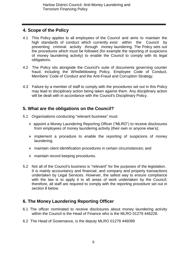## **4. Scope of the Policy**

- 4.1 This Policy applies to all employees of the Council and aims to maintain the high standards of conduct which currently exist within the Council by preventing criminal activity through money laundering. The Policy sets out the procedures which must be followed (for example the reporting of suspicions of money laundering activity) to enable the Council to comply with its legal obligations.
- 4.2 The Policy sits alongside the Council's suite of documents governing counter fraud, including the Whistleblowing Policy, Employee Code of Conduct, Members' Code of Conduct and the Anti-Fraud and Corruption Strategy.
- 4.3 Failure by a member of staff to comply with the procedures set out in this Policy may lead to disciplinary action being taken against them. Any disciplinary action will be dealt with in accordance with the Council's Disciplinary Policy.

## **5. What are the obligations on the Council?**

- 5.1 Organisations conducting "relevant business" must:
	- appoint a Money Laundering Reporting Officer ("MLRO") to receive disclosures from employees of money laundering activity (their own or anyone else's);
	- $\triangleright$  implement a procedure to enable the reporting of suspicions of money laundering;
	- $\triangleright$  maintain client identification procedures in certain circumstances; and
	- $\triangleright$  maintain record keeping procedures.
- 5.2 Not all of the Council's business is "relevant" for the purposes of the legislation. It is mainly accountancy and financial; and company and property transactions undertaken by Legal Services. However, the safest way to ensure compliance with the law is to apply it to all areas of work undertaken by the Council; therefore, all staff are required to comply with the reporting procedure set out in section 8 below.

## **6. The Money Laundering Reporting Officer**

- 6.1 The officer nominated to receive disclosures about money laundering activity within the Council is the Head of Finance who is the MLRO 01279 446228.
- 6.2 The Head of Governance, is the deputy MLRO 01279 446099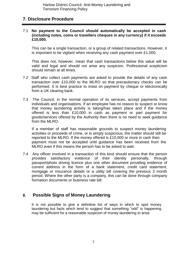Harlow District Council: Anti-Money Laundering and Terrorism Financing Policy

## **7. Disclosure Procedure**

#### 7.1 **No payment to the Council should automatically be accepted in cash (including notes, coins or travellers cheques in any currency) if it exceeds £10,000.**

This can be a single transaction, or a group of related transactions. However, it is important to be vigilant when receiving any cash payment over £1,000.

This does not, however, mean that cash transactions below this value will be valid and legal and should not arise any suspicion. Professional scepticism should remain at all times.

- 7.2 Staff who collect cash payments are asked to provide the details of any cash transaction over £10,000 to the MLRO so that precautionary checks can be performed. It is best practice to insist on payment by cheque or electronically from a UK clearing bank.
- 7.3 The Council, in the normal operation of its services, accept payments from individuals and organisations. If an employee has no reason to suspect or know that money laundering activity is taking/has taken place and if the money offered is less than £10,000 in cash as payment or part payment for goods/services offered by the Authority then there is no need to seek guidance from the MLRO.

If a member of staff has reasonable grounds to suspect money laundering activities or proceeds of crime, or is simply suspicious, the matter should still be reported to the MLRO. If the money offered is £10,000 or more in cash then payment must not be accepted until guidance has been received from the MLRO even if this means the person has to be asked to wait.

7.4 Any officer involved in a transaction of this kind should ensure that the person provides satisfactory evidence of their identity personally, through passport/photo driving licence plus one other document providing evidence of current address in the form of a bank statement, credit card statement, mortgage or insurance details or a utility bill covering the previous 3 month period. Where the other party is a company, this can be done through company formation documents or business rate bill.

## **8. Possible Signs of Money Laundering**

It is not possible to give a definitive list of ways in which to spot money laundering but facts which tend to suggest that something "odd" is happening may be sufficient for a reasonable suspicion of money laundering to arise.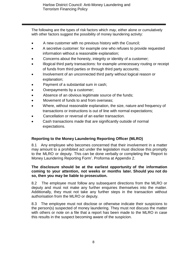The following are the types of risk factors which *may*, either alone or cumulatively with other factors suggest the possibility of money laundering activity:

- A new customer with no previous history with the Council;
- A secretive customer: for example one who refuses to provide requested information without a reasonable explanation;
- Concerns about the honesty, integrity or identity of a customer;
- Illogical third party transactions: for example unnecessary routing or receipt of funds from third parties or through third party accounts;
- Involvement of an unconnected third party without logical reason or explanation;
- Payment of a substantial sum in cash;
- Overpayments by a customer;
- Absence of an obvious legitimate source of the funds;
- Movement of funds to and from overseas;
- Where, without reasonable explanation, the size, nature and frequency of transactions or instructions is out of line with normal expectations;
- Cancellation or reversal of an earlier transaction.
- Cash transactions made that are significantly outside of normal expectations.

## **Reporting to the Money Laundering Reporting Officer (MLRO)**

8.1 Any employee who becomes concerned that their involvement in a matter may amount to a prohibited act under the legislation must disclose this promptly to the MLRO or deputy. This can be done verbally or completing the 'Report to Money Laundering Reporting Form'. Proforma at Appendix 2.

#### **The disclosure should be at the earliest opportunity of the information coming to your attention, not weeks or months later. Should you not do so, then you may be liable to prosecution.**

8.2 The employee must follow any subsequent directions from the MLRO or deputy and must not make any further enquiries themselves into the matter. Additionally, they must not take any further steps in the transaction without authorisation from the MLRO or deputy.

8.3 The employee must not disclose or otherwise indicate their suspicions to the person(s) suspected of money laundering. They must not discuss the matter with others or note on a file that a report has been made to the MLRO in case this results in the suspect becoming aware of the suspicion.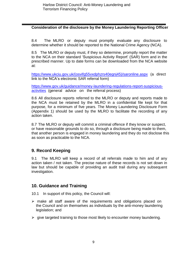#### **Consideration of the disclosure by the Money Laundering Reporting Officer**

8.4 The MLRO or deputy must promptly evaluate any disclosure to determine whether it should be reported to the National Crime Agency (NCA).

8.5 The MLRO or deputy must, if they so determine, promptly report the matter to the NCA on their standard 'Suspicious Activity Report' (SAR) form and in the prescribed manner. Up to date forms can be downloaded from the NCA website at:

[https://www.ukciu.gov.uk/\(osvifg55vxdphzrs40egnj45\)/saronline.aspx](https://www.ukciu.gov.uk/(osvifg55vxdphzrs40egnj45)/saronline.aspx) (a direct link to the NCA's electronic SAR referral form)

[https://www.gov.uk/guidance/money-laundering-regulations-report-suspicious](https://www.gov.uk/guidance/money-laundering-regulations-report-suspicious-activities)[activities](https://www.gov.uk/guidance/money-laundering-regulations-report-suspicious-activities) (general advice on the referral process)

8.6 All disclosure reports referred to the MLRO or deputy and reports made to the NCA must be retained by the MLRO in a confidential file kept for that purpose, for a minimum of five years. The Money Laundering Disclosure Form (Appendix 1) should be used by the MLRO to facilitate the recording of any action taken.

8.7 The MLRO or deputy will commit a criminal offence if they know or suspect, or have reasonable grounds to do so, through a disclosure being made to them, that another person is engaged in money laundering and they do not disclose this as soon as practicable to the NCA.

## **9. Record Keeping**

9.1 The MLRO will keep a record of all referrals made to him and of any action taken / not taken. The precise nature of these records is not set down in law but should be capable of providing an audit trail during any subsequent investigation.

## **10. Guidance and Training**

10.1 In support of this policy, the Council will:

- $\triangleright$  make all staff aware of the requirements and obligations placed on the Council and on themselves as individuals by the anti-money laundering legislation; and
- $\triangleright$  give targeted training to those most likely to encounter money laundering.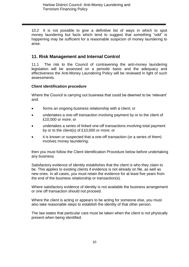10.2 It is not possible to give a definitive list of ways in which to spot money laundering but facts which tend to suggest that something "odd" is happening may be sufficient for a reasonable suspicion of money laundering to arise.

## **11. Risk Management and Internal Control**

11.1 The risk to the Council of contravening the anti-money laundering legislation will be assessed on a periodic basis and the adequacy and effectiveness the Anti-Money Laundering Policy will be reviewed in light of such assessments.

#### **Client identification procedure**

Where the Council is carrying out business that could be deemed to be 'relevant' and:

- forms an ongoing business relationship with a client; or
- undertakes a one-off transaction involving payment by or to the client of £10,000 or more; or
- undertakes a series of linked one-off transactions involving total payment by or to the client(s) of £10,000 or more; or
- it is known or suspected that a one-off transaction (or a series of them) involves money laundering;

then you must follow the Client Identification Procedure below before undertaking any business.

Satisfactory evidence of identity establishes that the client is who they claim to be. This applies to existing clients if evidence is not already on file, as well as new ones. In all cases, you must retain the evidence for at least five years from the end of the business relationship or transaction(s).

Where satisfactory evidence of identity is not available the business arrangement or one off transaction should not proceed.

Where the client is acting or appears to be acting for someone else, you must also take reasonable steps to establish the identity of that other person.

The law states that particular care must be taken when the client is not physically present when being identified.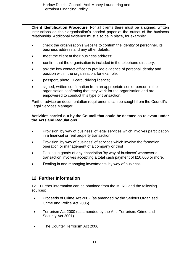**Client Identification Procedure**: For all clients there must be a signed, written instructions on their organisation's headed paper at the outset of the business relationship. Additional evidence must also be in place, for example:

- check the organisation's website to confirm the identity of personnel, its business address and any other details;
- meet the client at their business address;
- confirm that the organisation is included in the telephone directory;
- ask the key contact officer to provide evidence of personal identity and position within the organisation, for example:
- passport, photo ID card, driving licence;
- signed, written confirmation from an appropriate senior person in their organisation confirming that they work for the organisation and are empowered to conduct this type of transaction.

Further advice on documentation requirements can be sought from the Council's Legal Services Manager

#### **Activities carried out by the Council that could be deemed as relevant under the Acts and Regulations.**

- Provision 'by way of business' of legal services which involves participation in a financial or real property transaction
- Provision 'by way of business' of services which involve the formation, operation or management of a company or trust
- Dealing in goods of any description 'by way of business' whenever a transaction involves accepting a total cash payment of £10,000 or more.
- Dealing in and managing investments 'by way of business'.

## **12. Further Information**

12.1 Further information can be obtained from the MLRO and the following sources:

- Proceeds of Crime Act 2002 (as amended by the Serious Organised Crime and Police Act 2005)
- Terrorism Act 2000 (as amended by the Anti-Terrorism, Crime and Security Act 2001)
- The Counter Terrorism Act 2006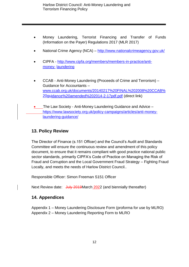- Money Laundering, Terrorist Financing and Transfer of Funds (Information on the Payer) Regulations 2017 (MLR 2017)
- National Crime Agency (NCA) <http://www.nationalcrimeagency.gov.uk/>
- CIPFA [http://www.cipfa.org/members/members-in-practice/anti](http://www.cipfa.org/members/members-in-practice/anti-money-laundering)[money-](http://www.cipfa.org/members/members-in-practice/anti-money-laundering) [laundering](http://www.cipfa.org/members/members-in-practice/anti-money-laundering)
- CCAB Anti-Money Laundering (Proceeds of Crime and Terrorism) Guidance for Accountants – [www.ccab.org.uk/documents/20140217%20FINAL%202008%20CCAB%](http://www.ccab.org.uk/documents/20140217%20FINAL%202008%20CCAB%20guidance%20amended%202014-2-17pdf.pdf) [20guidance%20amended%202014-2-17pdf.pdf](http://www.ccab.org.uk/documents/20140217%20FINAL%202008%20CCAB%20guidance%20amended%202014-2-17pdf.pdf) (direct link)
- The Law Society Anti-Money Laundering Guidance and Advice [https://www.lawsociety.org.uk/policy-campaigns/articles/anti-money](https://www.lawsociety.org.uk/policy-campaigns/articles/anti-money-laundering-guidance/)[laundering-guidance/](https://www.lawsociety.org.uk/policy-campaigns/articles/anti-money-laundering-guidance/)

## **13. Policy Review**

The Director of Finance (s.151 Officer) and the Council's Audit and Standards Committee will ensure the continuous review and amendment of this policy document, to ensure that it remains compliant with good practice national public sector standards, primarily CIPFA's Code of Practice on Managing the Risk of Fraud and Corruption and the Local Government Fraud Strategy – Fighting Fraud Locally, and meets the needs of Harlow District Council..

Responsible Officer: Simon Freeman S151 Officer

Next Review date: July 2019 March 2022 (and biennially thereafter)

## **14. Appendices**

Appendix 1 – Money Laundering Disclosure Form (proforma for use by MLRO) Appendix 2 – Money Laundering Reporting Form to MLRO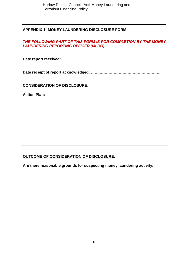## **APPENDIX 1: MONEY LAUNDERING DISCLOSURE FORM**

## *THE FOLLOWING PART OF THIS FORM IS FOR COMPLETION BY THE MONEY LAUNDERING REPORTING OFFICER (MLRO)*

**Date report received: ………………………………………………..**

**Date receipt of report acknowledged: ………………………………………………..**

## **CONSIDERATION OF DISCLOSURE:**

**Action Plan:**

## **OUTCOME OF CONSIDERATION OF DISCLOSURE:**

**Are there reasonable grounds for suspecting money laundering activity:**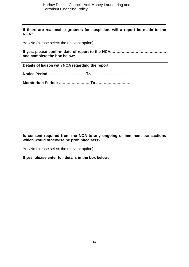**If there are reasonable grounds for suspicion, will a report be made to the NCA?**

Yes/No (please select the relevant option)

**If yes, please confirm date of report to the NCA:……………………………………. and complete the box below:**

**Details of liaison with NCA regarding the report:**

**Notice Period: ………………………. To ……………………….**

**Moratorium Period: …………………… To ……………………….**

**Is consent required from the NCA to any ongoing or imminent transactions which would otherwise be prohibited acts?**

Yes/No (please select the relevant option)

**If yes, please enter full details in the box below:**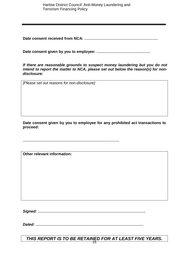Harlow District Council: Anti-Money Laundering and Terrorism Financing Policy

**Date consent received from NCA: ………………………………………………….** 

**Date consent given by you to employee: ……………………………………**

*If there are reasonable grounds to suspect money laundering but you do not intend to report the matter to NCA, please set out below the reason(s) for nondisclosure:*

*[Please set out reasons for non-disclosure]*

**Date consent given by you to employee for any prohibited act transactions to proceed:**

**………………………………………………………………….**

**Other relevant information:**

*Signed: ………………………………………………………………………….* 

*Dated: ………………………………………………………………………….*

15 *THIS REPORT IS TO BE RETAINED FOR AT LEAST FIVE YEARS.*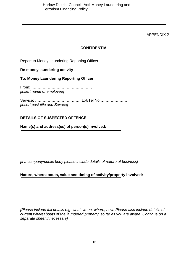APPENDIX 2

## **CONFIDENTIAL**

Report to Money Laundering Reporting Officer

## **Re money laundering activity**

**To: Money Laundering Reporting Officer**

From: ………………………………………… *[insert name of employee]*

Service: ……………………………… Ext/Tel No:………………… *[insert post title and Service]*

## **DETAILS OF SUSPECTED OFFENCE:**

## **Name(s) and address(es) of person(s) involved:**

*[if a company/public body please include details of nature of business]*

## **Nature, whereabouts, value and timing of activity/property involved:**

*[Please include full details e.g. what, when, where, how. Please also include details of current whereabouts of the laundered property, so far as you are aware. Continue on a separate sheet if necessary]*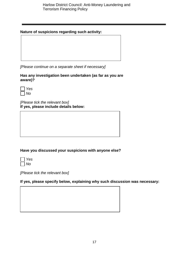#### **Nature of suspicions regarding such activity:**

*[Please continue on a separate sheet if necessary]*

**Has any investigation been undertaken (as far as you are aware)?** 

| ٧e<br>s |
|---------|
| ۷n      |

*[Please tick the relevant box]* **If yes, please include details below:**

## **Have you discussed your suspicions with anyone else?**



*[Please tick the relevant box]*

## **If yes, please specify below, explaining why such discussion was necessary:**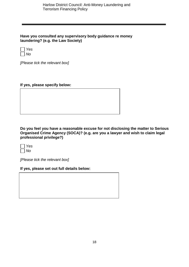**Have you consulted any supervisory body guidance re money laundering? (e.g. the Law Society)** 

| Yes |
|-----|
| Nο  |

*[Please tick the relevant box]* 

**If yes, please specify below:**

**Do you feel you have a reasonable excuse for not disclosing the matter to Serious Organised Crime Agency (SOCA)? (e.g. are you a lawyer and wish to claim legal professional privilege?)** 



*[Please tick the relevant box]*

**If yes, please set out full details below:**